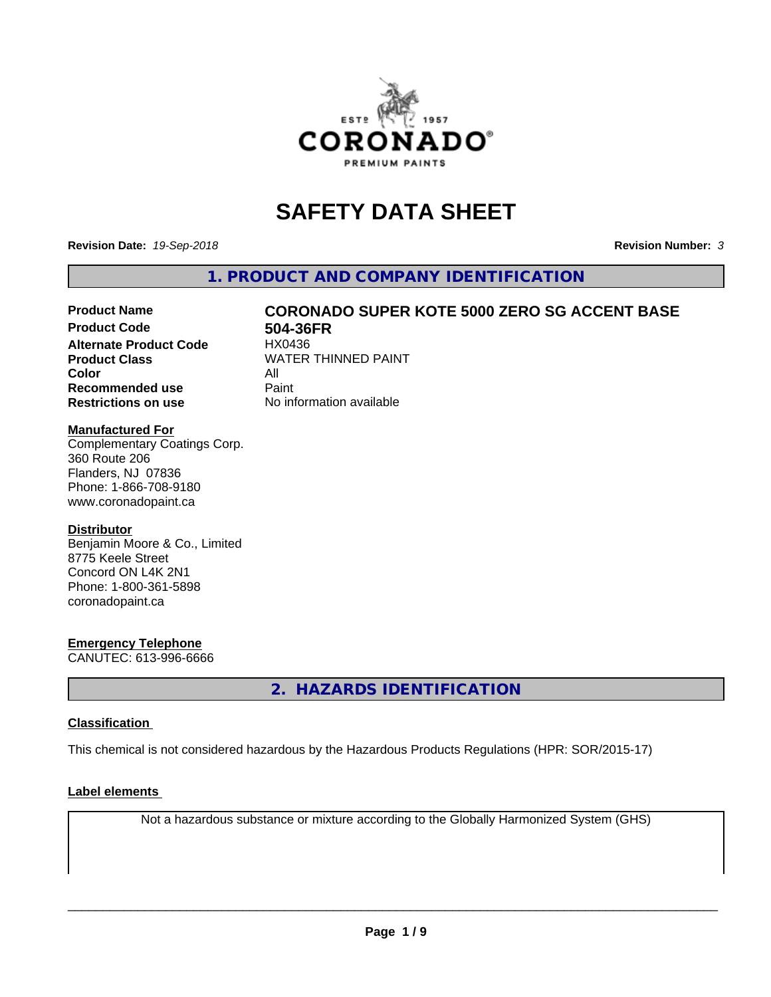

# **SAFETY DATA SHEET**

**Revision Date:** *19-Sep-2018* **Revision Number:** *3*

**1. PRODUCT AND COMPANY IDENTIFICATION**

# Product Name **CORONADO SUPER KOTE 5000 ZERO SG ACCENT BASE**<br>Product Code 604-36FR

**Alternate Product Code Color** All<br> **Recommended use** Paint **Recommended use Restrictions on use** No information available

**504-36FR**<br>HX0436 **Product Class WATER THINNED PAINT** 

#### **Manufactured For**

Complementary Coatings Corp. 360 Route 206 Flanders, NJ 07836 Phone: 1-866-708-9180 www.coronadopaint.ca

#### **Distributor**

Benjamin Moore & Co., Limited 8775 Keele Street Concord ON L4K 2N1 Phone: 1-800-361-5898 coronadopaint.ca

#### **Emergency Telephone**

CANUTEC: 613-996-6666

**2. HAZARDS IDENTIFICATION**

#### **Classification**

This chemical is not considered hazardous by the Hazardous Products Regulations (HPR: SOR/2015-17)

#### **Label elements**

Not a hazardous substance or mixture according to the Globally Harmonized System (GHS)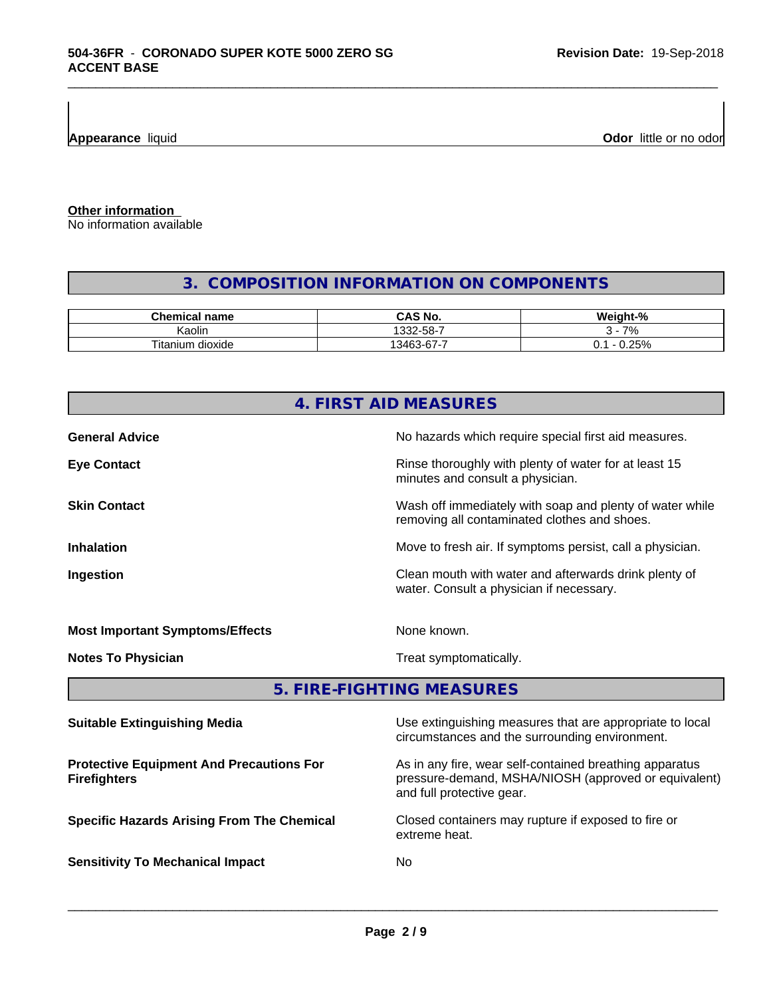**Appearance** liquid

**Odor** little or no odor

**Other information**

No information available

#### **3. COMPOSITION INFORMATION ON COMPONENTS**

\_\_\_\_\_\_\_\_\_\_\_\_\_\_\_\_\_\_\_\_\_\_\_\_\_\_\_\_\_\_\_\_\_\_\_\_\_\_\_\_\_\_\_\_\_\_\_\_\_\_\_\_\_\_\_\_\_\_\_\_\_\_\_\_\_\_\_\_\_\_\_\_\_\_\_\_\_\_\_\_\_\_\_\_\_\_\_\_\_\_\_\_\_

| Chemical<br>name                  | <b>CAS No.</b>              | <br>$^{\circ}$<br>πг  |
|-----------------------------------|-----------------------------|-----------------------|
| .<br>. .<br>Kaolir                | -58-<br>$\sim$<br>-<br>∶∠ت  | 7%                    |
| ÷.<br>dioxide ו<br><b>Itanium</b> | -<br>$\sim$<br>13163<br>. n | 250/<br>v.<br>$\cdot$ |

|                                        | 4. FIRST AID MEASURES                                                                                    |
|----------------------------------------|----------------------------------------------------------------------------------------------------------|
| <b>General Advice</b>                  | No hazards which require special first aid measures.                                                     |
| <b>Eye Contact</b>                     | Rinse thoroughly with plenty of water for at least 15<br>minutes and consult a physician.                |
| <b>Skin Contact</b>                    | Wash off immediately with soap and plenty of water while<br>removing all contaminated clothes and shoes. |
| <b>Inhalation</b>                      | Move to fresh air. If symptoms persist, call a physician.                                                |
| Ingestion                              | Clean mouth with water and afterwards drink plenty of<br>water. Consult a physician if necessary.        |
| <b>Most Important Symptoms/Effects</b> | None known.                                                                                              |
| <b>Notes To Physician</b>              | Treat symptomatically.                                                                                   |
|                                        | 5. FIRE-FIGHTING MEASURES                                                                                |

| As in any fire, wear self-contained breathing apparatus<br><b>Protective Equipment And Precautions For</b><br>pressure-demand, MSHA/NIOSH (approved or equivalent)<br><b>Firefighters</b><br>and full protective gear.<br>Closed containers may rupture if exposed to fire or<br><b>Specific Hazards Arising From The Chemical</b><br>extreme heat.<br><b>Sensitivity To Mechanical Impact</b><br>No. | <b>Suitable Extinguishing Media</b> | Use extinguishing measures that are appropriate to local<br>circumstances and the surrounding environment. |
|-------------------------------------------------------------------------------------------------------------------------------------------------------------------------------------------------------------------------------------------------------------------------------------------------------------------------------------------------------------------------------------------------------|-------------------------------------|------------------------------------------------------------------------------------------------------------|
|                                                                                                                                                                                                                                                                                                                                                                                                       |                                     |                                                                                                            |
|                                                                                                                                                                                                                                                                                                                                                                                                       |                                     |                                                                                                            |
|                                                                                                                                                                                                                                                                                                                                                                                                       |                                     |                                                                                                            |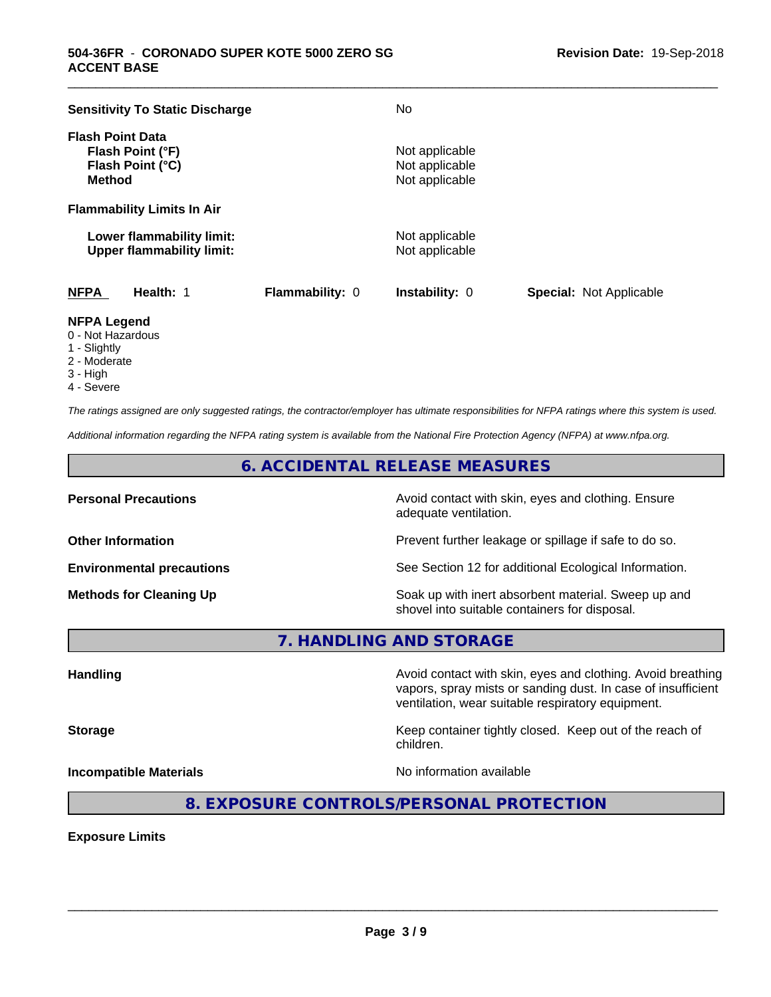| <b>Sensitivity To Static Discharge</b>                                           |                        | No                                                 |                                |
|----------------------------------------------------------------------------------|------------------------|----------------------------------------------------|--------------------------------|
| <b>Flash Point Data</b><br>Flash Point (°F)<br>Flash Point (°C)<br><b>Method</b> |                        | Not applicable<br>Not applicable<br>Not applicable |                                |
| <b>Flammability Limits In Air</b>                                                |                        |                                                    |                                |
| Lower flammability limit:<br><b>Upper flammability limit:</b>                    |                        | Not applicable<br>Not applicable                   |                                |
| <b>NFPA</b><br>Health: 1                                                         | <b>Flammability: 0</b> | <b>Instability: 0</b>                              | <b>Special: Not Applicable</b> |

\_\_\_\_\_\_\_\_\_\_\_\_\_\_\_\_\_\_\_\_\_\_\_\_\_\_\_\_\_\_\_\_\_\_\_\_\_\_\_\_\_\_\_\_\_\_\_\_\_\_\_\_\_\_\_\_\_\_\_\_\_\_\_\_\_\_\_\_\_\_\_\_\_\_\_\_\_\_\_\_\_\_\_\_\_\_\_\_\_\_\_\_\_

#### **NFPA Legend**

- 0 Not Hazardous
- 1 Slightly
- 2 Moderate
- 3 High
- 4 Severe

*The ratings assigned are only suggested ratings, the contractor/employer has ultimate responsibilities for NFPA ratings where this system is used.*

*Additional information regarding the NFPA rating system is available from the National Fire Protection Agency (NFPA) at www.nfpa.org.*

#### **6. ACCIDENTAL RELEASE MEASURES**

**Personal Precautions Precautions** Avoid contact with skin, eyes and clothing. Ensure adequate ventilation.

**Other Information Other Information Prevent further leakage or spillage if safe to do so.** 

**Environmental precautions** See Section 12 for additional Ecological Information.

**Methods for Cleaning Up Example 20 Soak** up with inert absorbent material. Sweep up and shovel into suitable containers for disposal.

vapors, spray mists or sanding dust. In case of insufficient

ventilation, wear suitable respiratory equipment.

**7. HANDLING AND STORAGE**

**Handling Handling Avoid contact with skin, eyes and clothing. Avoid breathing** 

**Storage Keep container tightly closed.** Keep out of the reach of

**Incompatible Materials Incompatible Materials No information available** 

 $\overline{\phantom{a}}$  ,  $\overline{\phantom{a}}$  ,  $\overline{\phantom{a}}$  ,  $\overline{\phantom{a}}$  ,  $\overline{\phantom{a}}$  ,  $\overline{\phantom{a}}$  ,  $\overline{\phantom{a}}$  ,  $\overline{\phantom{a}}$  ,  $\overline{\phantom{a}}$  ,  $\overline{\phantom{a}}$  ,  $\overline{\phantom{a}}$  ,  $\overline{\phantom{a}}$  ,  $\overline{\phantom{a}}$  ,  $\overline{\phantom{a}}$  ,  $\overline{\phantom{a}}$  ,  $\overline{\phantom{a}}$ 

children.

**8. EXPOSURE CONTROLS/PERSONAL PROTECTION**

**Exposure Limits**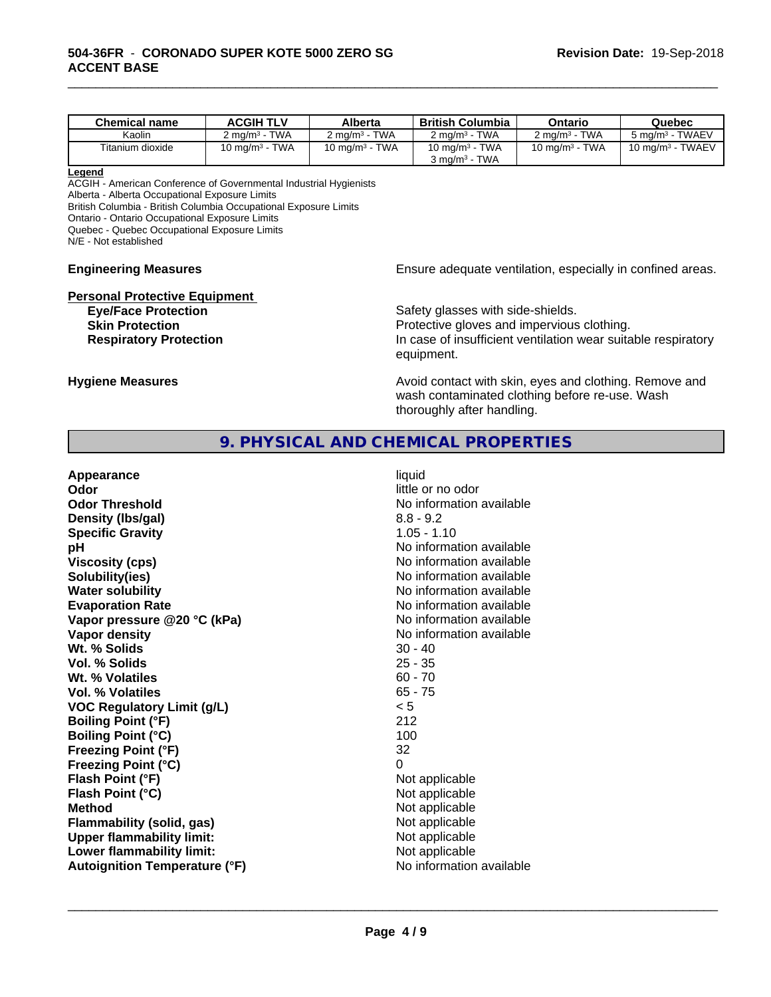| <b>Chemical name</b> | <b>ACGIH TLV</b>      | Alberta                              | <b>British Columbia</b>                                                | Ontario                     | Quebec                      |
|----------------------|-----------------------|--------------------------------------|------------------------------------------------------------------------|-----------------------------|-----------------------------|
| Kaolin               | <b>TWA</b><br>∠ ma/mª | <b>TWA</b><br>$2 \text{ ma/m}^3$     | <b>TWA</b><br>$2 \text{ ma/m}^3$                                       | <b>TWA</b><br>2 ma/m $^3$ - | 5 mg/m <sup>3</sup> - TWAEV |
| Titanium dioxide     | 10 mg/m $3$ - TWA     | <b>TWA</b><br>10 mg/m <sup>3</sup> - | <b>TWA</b><br>10 mg/m <sup>3</sup> -<br>፡ - TWA<br>კ mɑ/m <sup>ვ</sup> | <b>TWA</b><br>10 mg/m $3 -$ | 10 mg/m $3$ - TWAEV         |

\_\_\_\_\_\_\_\_\_\_\_\_\_\_\_\_\_\_\_\_\_\_\_\_\_\_\_\_\_\_\_\_\_\_\_\_\_\_\_\_\_\_\_\_\_\_\_\_\_\_\_\_\_\_\_\_\_\_\_\_\_\_\_\_\_\_\_\_\_\_\_\_\_\_\_\_\_\_\_\_\_\_\_\_\_\_\_\_\_\_\_\_\_

#### **Legend**

ACGIH - American Conference of Governmental Industrial Hygienists Alberta - Alberta Occupational Exposure Limits British Columbia - British Columbia Occupational Exposure Limits Ontario - Ontario Occupational Exposure Limits Quebec - Quebec Occupational Exposure Limits N/E - Not established

# **Personal Protective Equipment**<br>**Eye/Face Protection**

## **Engineering Measures Engineering Measures Engineering Measures Ensure adequate ventilation, especially in confined areas.**

Safety glasses with side-shields. **Skin Protection Protection Protective gloves and impervious clothing. Respiratory Protection In case of insufficient ventilation wear suitable respiratory** equipment.

**Hygiene Measures Avoid contact with skin, eyes and clothing. Remove and Avoid contact with skin, eyes and clothing. Remove and** wash contaminated clothing before re-use. Wash thoroughly after handling.

#### **9. PHYSICAL AND CHEMICAL PROPERTIES**

| Appearance<br>Odor<br><b>Odor Threshold</b><br>Density (Ibs/gal)<br><b>Specific Gravity</b><br>рH<br><b>Viscosity (cps)</b><br>Solubility(ies)<br><b>Water solubility</b><br><b>Evaporation Rate</b><br>Vapor pressure @20 °C (kPa)<br>Vapor density<br>Wt. % Solids<br>Vol. % Solids<br>Wt. % Volatiles<br>Vol. % Volatiles<br><b>VOC Regulatory Limit (g/L)</b><br><b>Boiling Point (°F)</b><br><b>Boiling Point (°C)</b><br><b>Freezing Point (°F)</b><br><b>Freezing Point (°C)</b><br>Flash Point (°F)<br>Flash Point (°C)<br><b>Method</b><br><b>Flammability (solid, gas)</b><br><b>Upper flammability limit:</b> | liquid<br>little or no odor<br>No information available<br>$8.8 - 9.2$<br>$1.05 - 1.10$<br>No information available<br>No information available<br>No information available<br>No information available<br>No information available<br>No information available<br>No information available<br>$30 - 40$<br>$25 - 35$<br>$60 - 70$<br>$65 - 75$<br>< 5<br>212<br>100<br>32<br>0<br>Not applicable<br>Not applicable<br>Not applicable<br>Not applicable<br>Not applicable |
|--------------------------------------------------------------------------------------------------------------------------------------------------------------------------------------------------------------------------------------------------------------------------------------------------------------------------------------------------------------------------------------------------------------------------------------------------------------------------------------------------------------------------------------------------------------------------------------------------------------------------|---------------------------------------------------------------------------------------------------------------------------------------------------------------------------------------------------------------------------------------------------------------------------------------------------------------------------------------------------------------------------------------------------------------------------------------------------------------------------|
| Lower flammability limit:                                                                                                                                                                                                                                                                                                                                                                                                                                                                                                                                                                                                | Not applicable                                                                                                                                                                                                                                                                                                                                                                                                                                                            |
| <b>Autoignition Temperature (°F)</b>                                                                                                                                                                                                                                                                                                                                                                                                                                                                                                                                                                                     | No information available                                                                                                                                                                                                                                                                                                                                                                                                                                                  |
|                                                                                                                                                                                                                                                                                                                                                                                                                                                                                                                                                                                                                          |                                                                                                                                                                                                                                                                                                                                                                                                                                                                           |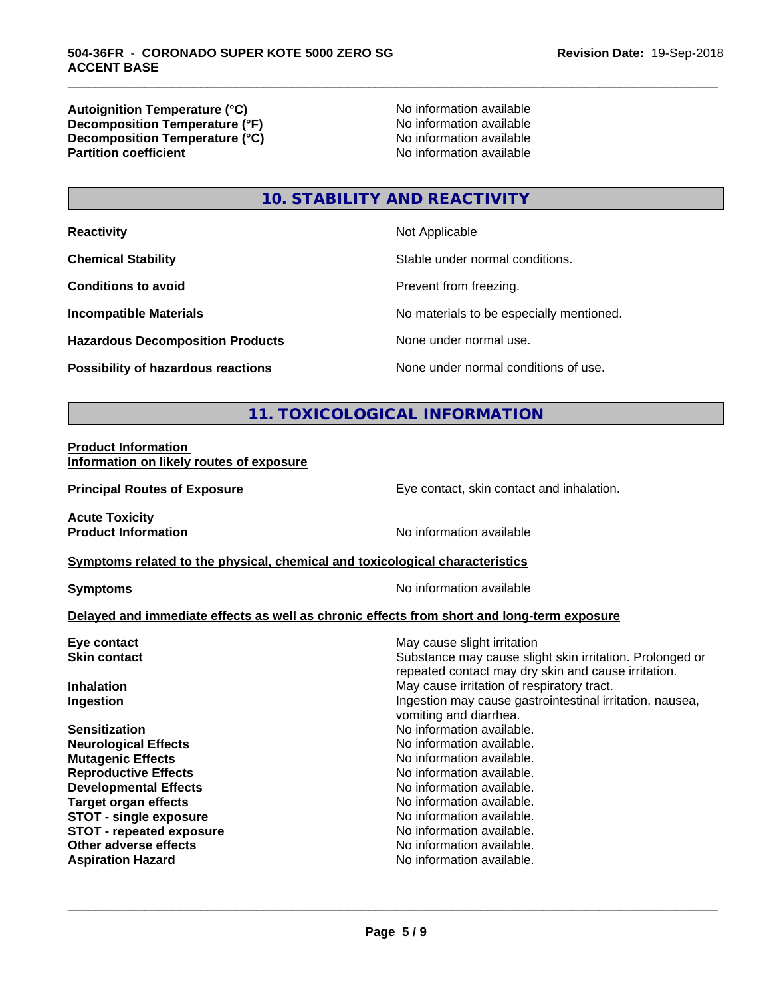**Autoignition Temperature (°C)**<br> **Decomposition Temperature (°F)** No information available **Decomposition Temperature (°F)**<br> **Decomposition Temperature (°C)**<br>
No information available **Decomposition Temperature (°C) Partition coefficient** 

\_\_\_\_\_\_\_\_\_\_\_\_\_\_\_\_\_\_\_\_\_\_\_\_\_\_\_\_\_\_\_\_\_\_\_\_\_\_\_\_\_\_\_\_\_\_\_\_\_\_\_\_\_\_\_\_\_\_\_\_\_\_\_\_\_\_\_\_\_\_\_\_\_\_\_\_\_\_\_\_\_\_\_\_\_\_\_\_\_\_\_\_\_

## **10. STABILITY AND REACTIVITY**

| <b>Reactivity</b>                         | Not Applicable                           |
|-------------------------------------------|------------------------------------------|
| <b>Chemical Stability</b>                 | Stable under normal conditions.          |
| <b>Conditions to avoid</b>                | Prevent from freezing.                   |
| <b>Incompatible Materials</b>             | No materials to be especially mentioned. |
| <b>Hazardous Decomposition Products</b>   | None under normal use.                   |
| <b>Possibility of hazardous reactions</b> | None under normal conditions of use.     |

#### **11. TOXICOLOGICAL INFORMATION**

#### **Product Information Information on likely routes of exposure**

**Principal Routes of Exposure Exposure** Eye contact, skin contact and inhalation.

**Acute Toxicity** 

**Product Information** No information available

#### **Symptoms** related to the physical, chemical and toxicological characteristics

**Symptoms** No information available

#### **Delayed and immediate effects as well as chronic effects from short and long-term exposure**

| May cause slight irritation                                                                                     |
|-----------------------------------------------------------------------------------------------------------------|
| Substance may cause slight skin irritation. Prolonged or<br>repeated contact may dry skin and cause irritation. |
| May cause irritation of respiratory tract.                                                                      |
| Ingestion may cause gastrointestinal irritation, nausea,<br>vomiting and diarrhea.                              |
| No information available.                                                                                       |
| No information available.                                                                                       |
| No information available.                                                                                       |
| No information available.                                                                                       |
| No information available.                                                                                       |
| No information available.                                                                                       |
| No information available.                                                                                       |
| No information available.                                                                                       |
| No information available.                                                                                       |
| No information available.                                                                                       |
|                                                                                                                 |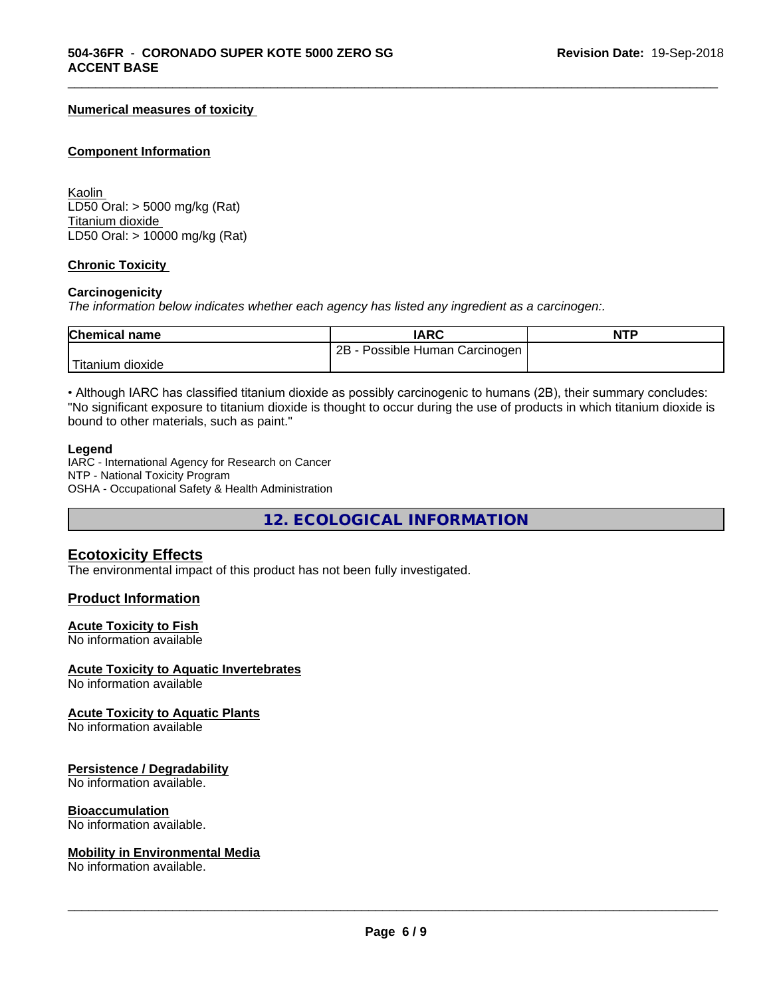#### **Numerical measures of toxicity**

#### **Component Information**

Kaolin LD50 Oral: > 5000 mg/kg (Rat) Titanium dioxide LD50 Oral: > 10000 mg/kg (Rat)

#### **Chronic Toxicity**

#### **Carcinogenicity**

*The information below indicateswhether each agency has listed any ingredient as a carcinogen:.*

| <b>Chemical name</b> | <b>IARC</b>                           | <b>NTP</b> |
|----------------------|---------------------------------------|------------|
|                      | 2B<br>Possible<br>Human<br>Carcinogen |            |
| dioxide<br>⊺ıtanıum  |                                       |            |

\_\_\_\_\_\_\_\_\_\_\_\_\_\_\_\_\_\_\_\_\_\_\_\_\_\_\_\_\_\_\_\_\_\_\_\_\_\_\_\_\_\_\_\_\_\_\_\_\_\_\_\_\_\_\_\_\_\_\_\_\_\_\_\_\_\_\_\_\_\_\_\_\_\_\_\_\_\_\_\_\_\_\_\_\_\_\_\_\_\_\_\_\_

• Although IARC has classified titanium dioxide as possibly carcinogenic to humans (2B), their summary concludes: "No significant exposure to titanium dioxide is thought to occur during the use of products in which titanium dioxide is bound to other materials, such as paint."

#### **Legend**

IARC - International Agency for Research on Cancer NTP - National Toxicity Program OSHA - Occupational Safety & Health Administration

**12. ECOLOGICAL INFORMATION**

#### **Ecotoxicity Effects**

The environmental impact of this product has not been fully investigated.

#### **Product Information**

#### **Acute Toxicity to Fish**

No information available

#### **Acute Toxicity to Aquatic Invertebrates**

No information available

#### **Acute Toxicity to Aquatic Plants**

No information available

#### **Persistence / Degradability**

No information available.

#### **Bioaccumulation**

No information available.

#### **Mobility in Environmental Media**

No information available.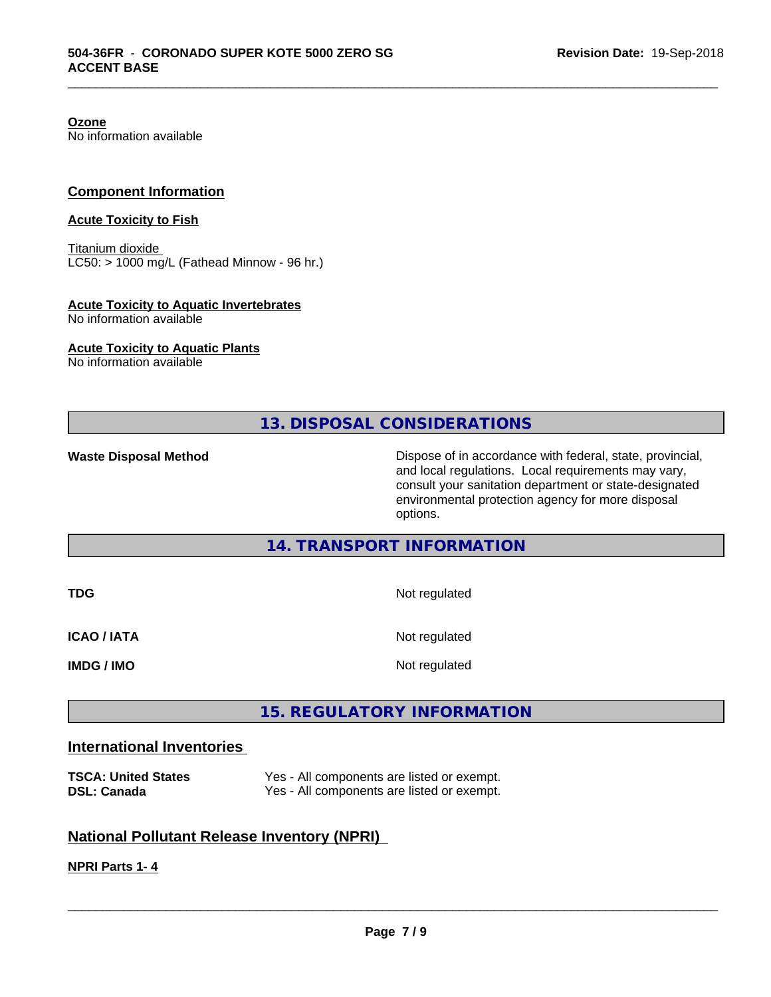**Ozone**

No information available

#### **Component Information**

#### **Acute Toxicity to Fish**

Titanium dioxide  $LC50:$  > 1000 mg/L (Fathead Minnow - 96 hr.)

#### **Acute Toxicity to Aquatic Invertebrates**

No information available

#### **Acute Toxicity to Aquatic Plants**

No information available

#### **13. DISPOSAL CONSIDERATIONS**

\_\_\_\_\_\_\_\_\_\_\_\_\_\_\_\_\_\_\_\_\_\_\_\_\_\_\_\_\_\_\_\_\_\_\_\_\_\_\_\_\_\_\_\_\_\_\_\_\_\_\_\_\_\_\_\_\_\_\_\_\_\_\_\_\_\_\_\_\_\_\_\_\_\_\_\_\_\_\_\_\_\_\_\_\_\_\_\_\_\_\_\_\_

Waste Disposal Method **Dispose of in accordance with federal, state, provincial,** and local regulations. Local requirements may vary, consult your sanitation department or state-designated environmental protection agency for more disposal options.

#### **14. TRANSPORT INFORMATION**

| <b>TDG</b>         | Not regulated |
|--------------------|---------------|
| <b>ICAO / IATA</b> | Not regulated |
| <b>IMDG / IMO</b>  | Not regulated |

#### **15. REGULATORY INFORMATION**

#### **International Inventories**

| <b>TSCA: United States</b> | Yes - All components are listed or exempt. |
|----------------------------|--------------------------------------------|
| <b>DSL: Canada</b>         | Yes - All components are listed or exempt. |

### **National Pollutant Release Inventory (NPRI)**

#### **NPRI Parts 1- 4**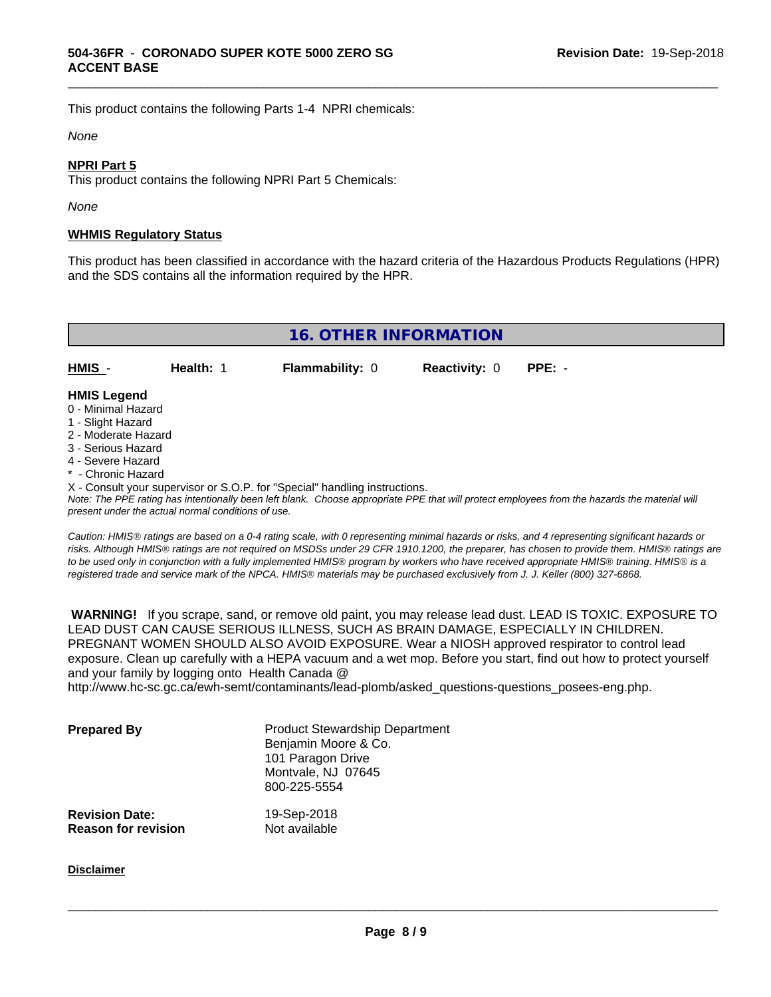This product contains the following Parts 1-4 NPRI chemicals:

#### *None*

#### **NPRI Part 5**

This product contains the following NPRI Part 5 Chemicals:

*None*

#### **WHMIS Regulatory Status**

This product has been classified in accordance with the hazard criteria of the Hazardous Products Regulations (HPR) and the SDS contains all the information required by the HPR.

\_\_\_\_\_\_\_\_\_\_\_\_\_\_\_\_\_\_\_\_\_\_\_\_\_\_\_\_\_\_\_\_\_\_\_\_\_\_\_\_\_\_\_\_\_\_\_\_\_\_\_\_\_\_\_\_\_\_\_\_\_\_\_\_\_\_\_\_\_\_\_\_\_\_\_\_\_\_\_\_\_\_\_\_\_\_\_\_\_\_\_\_\_

**16. OTHER INFORMATION HMIS** - **Health:** 1 **Flammability:** 0 **Reactivity:** 0 **PPE:** - **HMIS Legend** 0 - Minimal Hazard

- 
- 1 Slight Hazard
- 2 Moderate Hazard
- 3 Serious Hazard
- 4 Severe Hazard
- \* Chronic Hazard
- X Consult your supervisor or S.O.P. for "Special" handling instructions.

*Note: The PPE rating has intentionally been left blank. Choose appropriate PPE that will protect employees from the hazards the material will present under the actual normal conditions of use.*

*Caution: HMISÒ ratings are based on a 0-4 rating scale, with 0 representing minimal hazards or risks, and 4 representing significant hazards or risks. Although HMISÒ ratings are not required on MSDSs under 29 CFR 1910.1200, the preparer, has chosen to provide them. HMISÒ ratings are to be used only in conjunction with a fully implemented HMISÒ program by workers who have received appropriate HMISÒ training. HMISÒ is a registered trade and service mark of the NPCA. HMISÒ materials may be purchased exclusively from J. J. Keller (800) 327-6868.*

 **WARNING!** If you scrape, sand, or remove old paint, you may release lead dust. LEAD IS TOXIC. EXPOSURE TO LEAD DUST CAN CAUSE SERIOUS ILLNESS, SUCH AS BRAIN DAMAGE, ESPECIALLY IN CHILDREN. PREGNANT WOMEN SHOULD ALSO AVOID EXPOSURE.Wear a NIOSH approved respirator to control lead exposure. Clean up carefully with a HEPA vacuum and a wet mop. Before you start, find out how to protect yourself and your family by logging onto Health Canada @

http://www.hc-sc.gc.ca/ewh-semt/contaminants/lead-plomb/asked\_questions-questions\_posees-eng.php.

| <b>Prepared By</b>                                  | <b>Product Stewardship Department</b><br>Benjamin Moore & Co.<br>101 Paragon Drive<br>Montvale, NJ 07645<br>800-225-5554 |  |
|-----------------------------------------------------|--------------------------------------------------------------------------------------------------------------------------|--|
| <b>Revision Date:</b><br><b>Reason for revision</b> | 19-Sep-2018<br>Not available                                                                                             |  |

**Disclaimer**